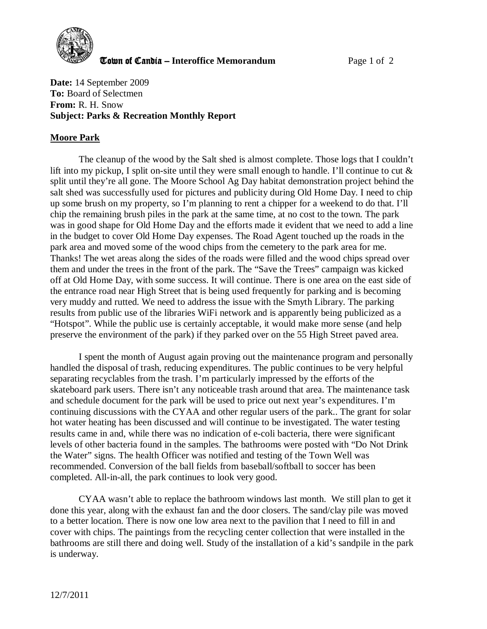

**The United Candia – Interoffice Memorandum** *Page 1 of 2* 

**Date:** 14 September 2009 **To:** Board of Selectmen **From:** R. H. Snow **Subject: Parks & Recreation Monthly Report** 

## **Moore Park**

The cleanup of the wood by the Salt shed is almost complete. Those logs that I couldn't lift into my pickup, I split on-site until they were small enough to handle. I'll continue to cut  $\&$ split until they're all gone. The Moore School Ag Day habitat demonstration project behind the salt shed was successfully used for pictures and publicity during Old Home Day. I need to chip up some brush on my property, so I'm planning to rent a chipper for a weekend to do that. I'll chip the remaining brush piles in the park at the same time, at no cost to the town. The park was in good shape for Old Home Day and the efforts made it evident that we need to add a line in the budget to cover Old Home Day expenses. The Road Agent touched up the roads in the park area and moved some of the wood chips from the cemetery to the park area for me. Thanks! The wet areas along the sides of the roads were filled and the wood chips spread over them and under the trees in the front of the park. The "Save the Trees" campaign was kicked off at Old Home Day, with some success. It will continue. There is one area on the east side of the entrance road near High Street that is being used frequently for parking and is becoming very muddy and rutted. We need to address the issue with the Smyth Library. The parking results from public use of the libraries WiFi network and is apparently being publicized as a "Hotspot". While the public use is certainly acceptable, it would make more sense (and help preserve the environment of the park) if they parked over on the 55 High Street paved area.

I spent the month of August again proving out the maintenance program and personally handled the disposal of trash, reducing expenditures. The public continues to be very helpful separating recyclables from the trash. I'm particularly impressed by the efforts of the skateboard park users. There isn't any noticeable trash around that area. The maintenance task and schedule document for the park will be used to price out next year's expenditures. I'm continuing discussions with the CYAA and other regular users of the park.. The grant for solar hot water heating has been discussed and will continue to be investigated. The water testing results came in and, while there was no indication of e-coli bacteria, there were significant levels of other bacteria found in the samples. The bathrooms were posted with "Do Not Drink the Water" signs. The health Officer was notified and testing of the Town Well was recommended. Conversion of the ball fields from baseball/softball to soccer has been completed. All-in-all, the park continues to look very good.

CYAA wasn't able to replace the bathroom windows last month. We still plan to get it done this year, along with the exhaust fan and the door closers. The sand/clay pile was moved to a better location. There is now one low area next to the pavilion that I need to fill in and cover with chips. The paintings from the recycling center collection that were installed in the bathrooms are still there and doing well. Study of the installation of a kid's sandpile in the park is underway.